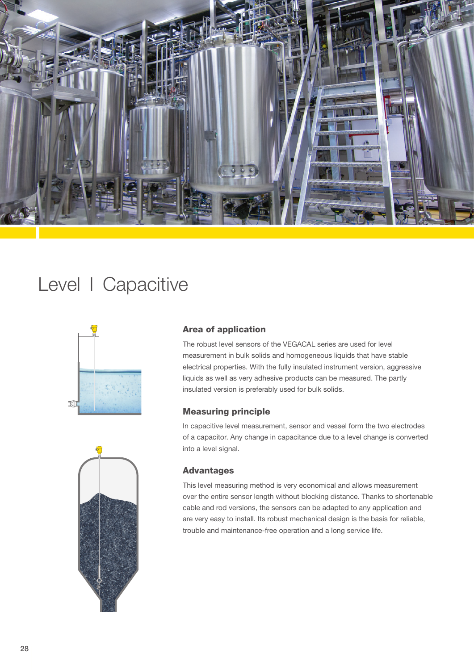

## Level | Capacitive



### Area of application

The robust level sensors of the VEGACAL series are used for level measurement in bulk solids and homogeneous liquids that have stable electrical properties. With the fully insulated instrument version, aggressive liquids as well as very adhesive products can be measured. The partly insulated version is preferably used for bulk solids.

#### Measuring principle

In capacitive level measurement, sensor and vessel form the two electrodes of a capacitor. Any change in capacitance due to a level change is converted into a level signal.

#### Advantages

This level measuring method is very economical and allows measurement over the entire sensor length without blocking distance. Thanks to shortenable cable and rod versions, the sensors can be adapted to any application and are very easy to install. Its robust mechanical design is the basis for reliable, trouble and maintenance-free operation and a long service life.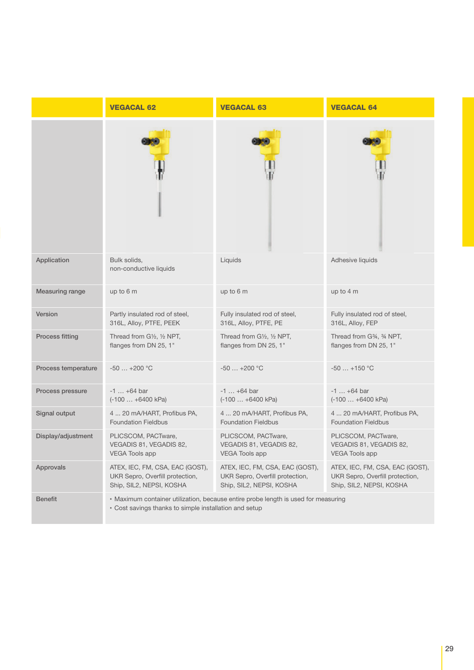|                     | <b>VEGACAL 62</b>                                                                                                                            | <b>VEGACAL 63</b>               | <b>VEGACAL 64</b>               |
|---------------------|----------------------------------------------------------------------------------------------------------------------------------------------|---------------------------------|---------------------------------|
|                     |                                                                                                                                              |                                 |                                 |
| Application         | Bulk solids,<br>non-conductive liquids                                                                                                       | Liquids                         | Adhesive liquids                |
| Measuring range     | up to 6 m                                                                                                                                    | up to 6 m                       | up to 4 m                       |
| Version             | Partly insulated rod of steel,                                                                                                               | Fully insulated rod of steel,   | Fully insulated rod of steel,   |
|                     | 316L, Alloy, PTFE, PEEK                                                                                                                      | 316L, Alloy, PTFE, PE           | 316L, Alloy, FEP                |
| Process fitting     | Thread from G1/2, 1/2 NPT,                                                                                                                   | Thread from G1/2, 1/2 NPT,      | Thread from G34, 34 NPT,        |
|                     | flanges from DN 25, 1"                                                                                                                       | flanges from DN 25, 1"          | flanges from DN 25, 1"          |
| Process temperature | $-50+200$ °C                                                                                                                                 | $-50$ $+200$ °C                 | $-50+150$ °C                    |
| Process pressure    | $-1$ $+64$ bar                                                                                                                               | $-1$ $+64$ bar                  | $-1  +64$ bar                   |
|                     | $(-100  +6400 kPa)$                                                                                                                          | $(-100  +6400 kPa)$             | $(-100  +6400 kPa)$             |
| Signal output       | 4  20 mA/HART, Profibus PA,                                                                                                                  | 4  20 mA/HART, Profibus PA,     | 4  20 mA/HART, Profibus PA,     |
|                     | <b>Foundation Fieldbus</b>                                                                                                                   | <b>Foundation Fieldbus</b>      | <b>Foundation Fieldbus</b>      |
| Display/adjustment  | PLICSCOM, PACTware,                                                                                                                          | PLICSCOM, PACTware,             | PLICSCOM, PACTware,             |
|                     | VEGADIS 81, VEGADIS 82,                                                                                                                      | VEGADIS 81, VEGADIS 82,         | VEGADIS 81, VEGADIS 82,         |
|                     | <b>VEGA Tools app</b>                                                                                                                        | <b>VEGA Tools app</b>           | <b>VEGA Tools app</b>           |
| Approvals           | ATEX, IEC, FM, CSA, EAC (GOST),                                                                                                              | ATEX, IEC, FM, CSA, EAC (GOST), | ATEX, IEC, FM, CSA, EAC (GOST), |
|                     | UKR Sepro, Overfill protection,                                                                                                              | UKR Sepro, Overfill protection, | UKR Sepro, Overfill protection, |
|                     | Ship, SIL2, NEPSI, KOSHA                                                                                                                     | Ship, SIL2, NEPSI, KOSHA        | Ship, SIL2, NEPSI, KOSHA        |
| <b>Benefit</b>      | • Maximum container utilization, because entire probe length is used for measuring<br>• Cost savings thanks to simple installation and setup |                                 |                                 |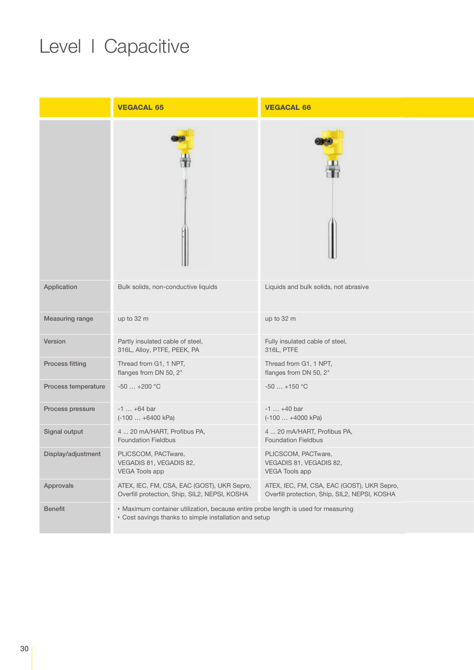# Level | Capacitive

|                     | <b>VEGACAL 65</b>                                                                                                                            | <b>VEGACAL 66</b>                                                                           |  |
|---------------------|----------------------------------------------------------------------------------------------------------------------------------------------|---------------------------------------------------------------------------------------------|--|
|                     |                                                                                                                                              |                                                                                             |  |
| Application         | Bulk solids, non-conductive liquids                                                                                                          | Liquids and bulk solids, not abrasive                                                       |  |
| Measuring range     | up to 32 m                                                                                                                                   | up to 32 m                                                                                  |  |
| Version             | Partly insulated cable of steel,<br>316L, Alloy, PTFE, PEEK, PA                                                                              | Fully insulated cable of steel,<br>316L, PTFE                                               |  |
| Process fitting     | Thread from G1, 1 NPT,<br>flanges from DN 50, 2"                                                                                             | Thread from G1, 1 NPT,<br>flanges from DN 50, 2"                                            |  |
| Process temperature | $-50+200$ °C                                                                                                                                 | $-50+150$ °C                                                                                |  |
| Process pressure    | $-1$ $+64$ bar<br>$(-100  +6400 kPa)$                                                                                                        | $-1$ $+40$ bar<br>$(-100  +4000 kPa)$                                                       |  |
| Signal output       | 4  20 mA/HART, Profibus PA,<br><b>Foundation Fieldbus</b>                                                                                    | 4  20 mA/HART, Profibus PA,<br><b>Foundation Fieldbus</b>                                   |  |
| Display/adjustment  | PLICSCOM, PACTware,<br>VEGADIS 81, VEGADIS 82,<br><b>VEGA Tools app</b>                                                                      | PLICSCOM, PACTware,<br>VEGADIS 81, VEGADIS 82,<br><b>VEGA Tools app</b>                     |  |
| Approvals           | ATEX, IEC, FM, CSA, EAC (GOST), UKR Sepro,<br>Overfill protection, Ship, SIL2, NEPSI, KOSHA                                                  | ATEX, IEC, FM, CSA, EAC (GOST), UKR Sepro,<br>Overfill protection, Ship, SIL2, NEPSI, KOSHA |  |
| <b>Benefit</b>      | · Maximum container utilization, because entire probe length is used for measuring<br>• Cost savings thanks to simple installation and setup |                                                                                             |  |